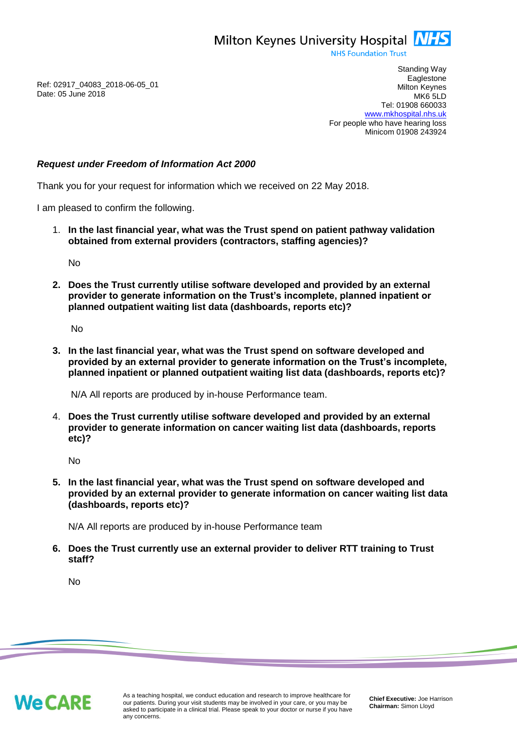Milton Keynes University Hospital **NHS** 

**NHS Foundation Trust** 

Ref: 02917\_04083\_2018-06-05\_01 Date: 05 June 2018

Standing Way **Eaglestone** Milton Keynes MK6 5LD Tel: 01908 660033 [www.mkhospital.nhs.uk](http://www.mkhospital.nhs.uk/) For people who have hearing loss Minicom 01908 243924

## *Request under Freedom of Information Act 2000*

Thank you for your request for information which we received on 22 May 2018.

I am pleased to confirm the following.

1. **In the last financial year, what was the Trust spend on patient pathway validation obtained from external providers (contractors, staffing agencies)?**

No

**2. Does the Trust currently utilise software developed and provided by an external provider to generate information on the Trust's incomplete, planned inpatient or planned outpatient waiting list data (dashboards, reports etc)?**

No

**3. In the last financial year, what was the Trust spend on software developed and provided by an external provider to generate information on the Trust's incomplete, planned inpatient or planned outpatient waiting list data (dashboards, reports etc)?**

N/A All reports are produced by in-house Performance team.

4. **Does the Trust currently utilise software developed and provided by an external provider to generate information on cancer waiting list data (dashboards, reports etc)?**

No

**5. In the last financial year, what was the Trust spend on software developed and provided by an external provider to generate information on cancer waiting list data (dashboards, reports etc)?** 

N/A All reports are produced by in-house Performance team

**6. Does the Trust currently use an external provider to deliver RTT training to Trust staff?** 

No

**We CARE**